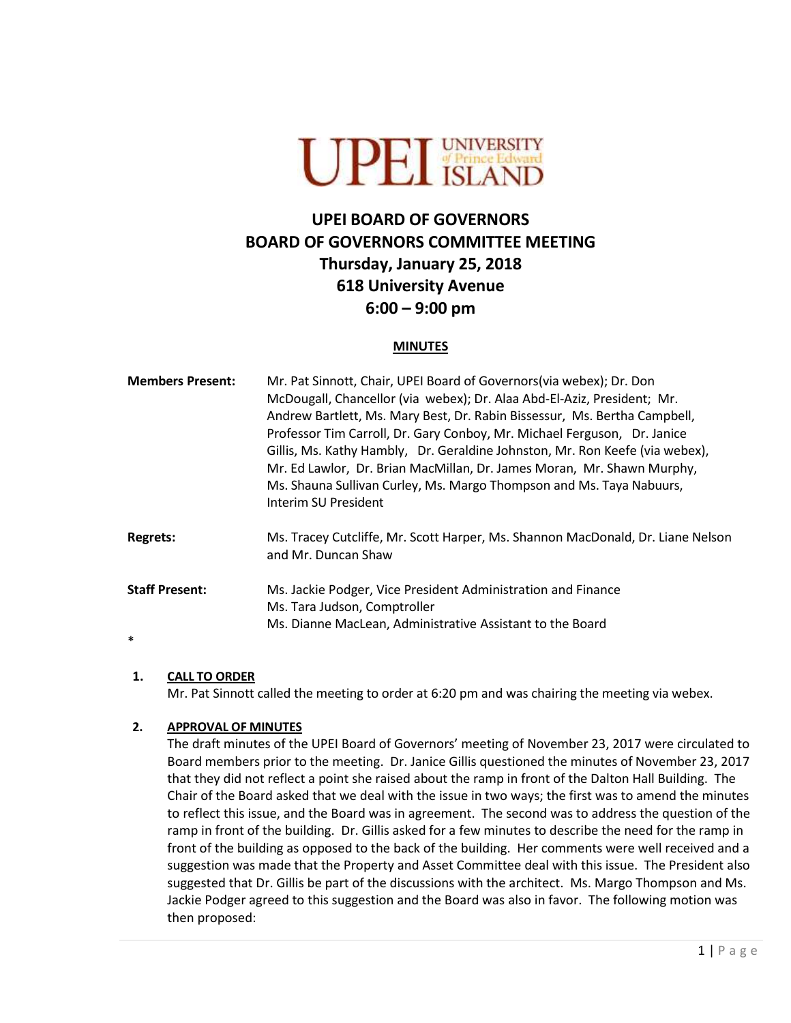

# **UPEI BOARD OF GOVERNORS BOARD OF GOVERNORS COMMITTEE MEETING Thursday, January 25, 2018 618 University Avenue 6:00 – 9:00 pm**

#### **MINUTES**

| <b>Members Present:</b>         | Mr. Pat Sinnott, Chair, UPEI Board of Governors (via webex); Dr. Don<br>McDougall, Chancellor (via webex); Dr. Alaa Abd-El-Aziz, President; Mr.<br>Andrew Bartlett, Ms. Mary Best, Dr. Rabin Bissessur, Ms. Bertha Campbell,<br>Professor Tim Carroll, Dr. Gary Conboy, Mr. Michael Ferguson, Dr. Janice<br>Gillis, Ms. Kathy Hambly, Dr. Geraldine Johnston, Mr. Ron Keefe (via webex),<br>Mr. Ed Lawlor, Dr. Brian MacMillan, Dr. James Moran, Mr. Shawn Murphy,<br>Ms. Shauna Sullivan Curley, Ms. Margo Thompson and Ms. Taya Nabuurs,<br>Interim SU President |
|---------------------------------|--------------------------------------------------------------------------------------------------------------------------------------------------------------------------------------------------------------------------------------------------------------------------------------------------------------------------------------------------------------------------------------------------------------------------------------------------------------------------------------------------------------------------------------------------------------------|
| <b>Regrets:</b>                 | Ms. Tracey Cutcliffe, Mr. Scott Harper, Ms. Shannon MacDonald, Dr. Liane Nelson<br>and Mr. Duncan Shaw                                                                                                                                                                                                                                                                                                                                                                                                                                                             |
| <b>Staff Present:</b><br>$\ast$ | Ms. Jackie Podger, Vice President Administration and Finance<br>Ms. Tara Judson, Comptroller<br>Ms. Dianne MacLean, Administrative Assistant to the Board                                                                                                                                                                                                                                                                                                                                                                                                          |

#### **1. CALL TO ORDER**

Mr. Pat Sinnott called the meeting to order at 6:20 pm and was chairing the meeting via webex.

#### **2. APPROVAL OF MINUTES**

The draft minutes of the UPEI Board of Governors' meeting of November 23, 2017 were circulated to Board members prior to the meeting. Dr. Janice Gillis questioned the minutes of November 23, 2017 that they did not reflect a point she raised about the ramp in front of the Dalton Hall Building. The Chair of the Board asked that we deal with the issue in two ways; the first was to amend the minutes to reflect this issue, and the Board was in agreement. The second was to address the question of the ramp in front of the building. Dr. Gillis asked for a few minutes to describe the need for the ramp in front of the building as opposed to the back of the building. Her comments were well received and a suggestion was made that the Property and Asset Committee deal with this issue. The President also suggested that Dr. Gillis be part of the discussions with the architect. Ms. Margo Thompson and Ms. Jackie Podger agreed to this suggestion and the Board was also in favor. The following motion was then proposed: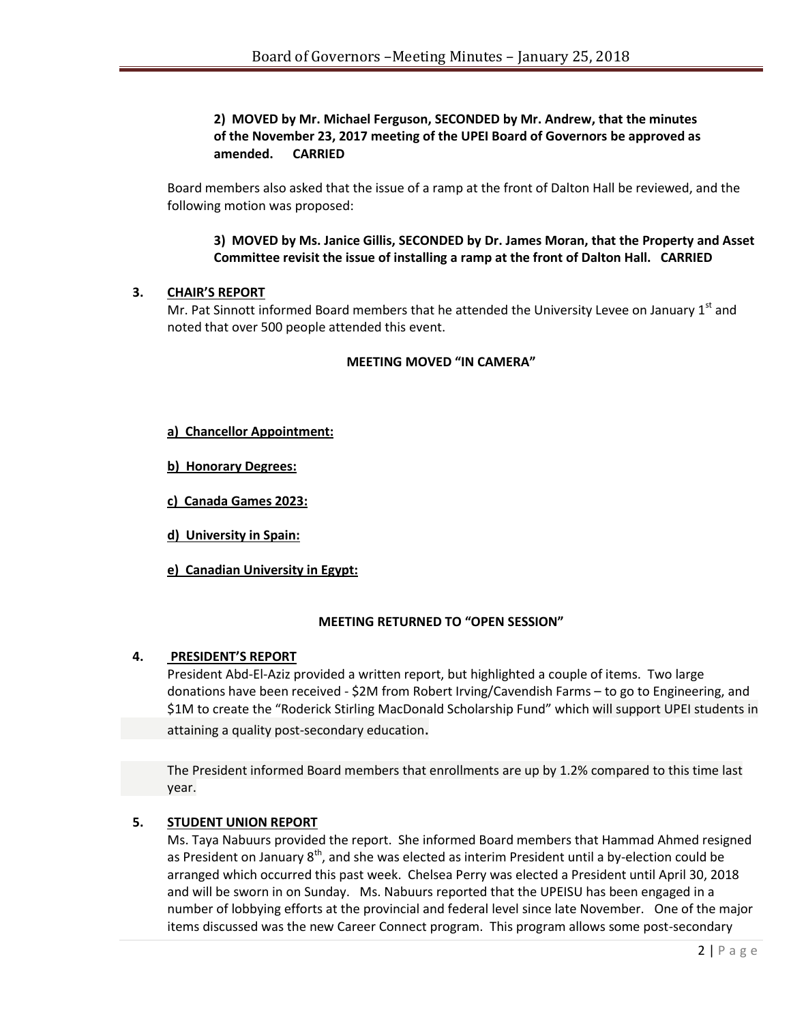## **2) MOVED by Mr. Michael Ferguson, SECONDED by Mr. Andrew, that the minutes of the November 23, 2017 meeting of the UPEI Board of Governors be approved as amended. CARRIED**

Board members also asked that the issue of a ramp at the front of Dalton Hall be reviewed, and the following motion was proposed:

**3) MOVED by Ms. Janice Gillis, SECONDED by Dr. James Moran, that the Property and Asset Committee revisit the issue of installing a ramp at the front of Dalton Hall. CARRIED**

## **3. CHAIR'S REPORT**

Mr. Pat Sinnott informed Board members that he attended the University Levee on January  $1<sup>st</sup>$  and noted that over 500 people attended this event.

#### **MEETING MOVED "IN CAMERA"**

#### **a) Chancellor Appointment:**

**b) Honorary Degrees:** 

**c) Canada Games 2023:**

**d) University in Spain:**

**e) Canadian University in Egypt:**

## **MEETING RETURNED TO "OPEN SESSION"**

#### **4. PRESIDENT'S REPORT**

President Abd-El-Aziz provided a written report, but highlighted a couple of items. Two large donations have been received - \$2M from Robert Irving/Cavendish Farms – to go to Engineering, and \$1M to create the "Roderick Stirling MacDonald Scholarship Fund" which will support UPEI students in attaining a quality post-secondary education.

The President informed Board members that enrollments are up by 1.2% compared to this time last year.

## **5. STUDENT UNION REPORT**

Ms. Taya Nabuurs provided the report. She informed Board members that Hammad Ahmed resigned as President on January 8<sup>th</sup>, and she was elected as interim President until a by-election could be arranged which occurred this past week. Chelsea Perry was elected a President until April 30, 2018 and will be sworn in on Sunday. Ms. Nabuurs reported that the UPEISU has been engaged in a number of lobbying efforts at the provincial and federal level since late November. One of the major items discussed was the new Career Connect program. This program allows some post-secondary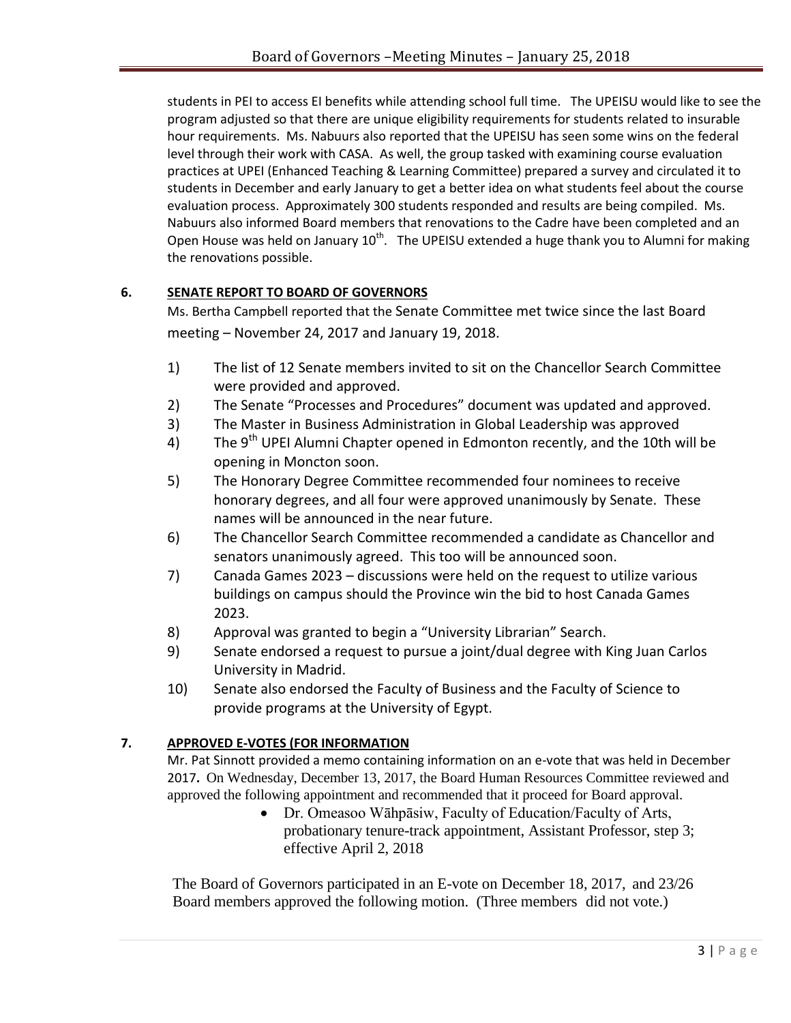students in PEI to access EI benefits while attending school full time. The UPEISU would like to see the program adjusted so that there are unique eligibility requirements for students related to insurable hour requirements. Ms. Nabuurs also reported that the UPEISU has seen some wins on the federal level through their work with CASA. As well, the group tasked with examining course evaluation practices at UPEI (Enhanced Teaching & Learning Committee) prepared a survey and circulated it to students in December and early January to get a better idea on what students feel about the course evaluation process. Approximately 300 students responded and results are being compiled. Ms. Nabuurs also informed Board members that renovations to the Cadre have been completed and an Open House was held on January  $10<sup>th</sup>$ . The UPEISU extended a huge thank you to Alumni for making the renovations possible.

# **6. SENATE REPORT TO BOARD OF GOVERNORS**

Ms. Bertha Campbell reported that the Senate Committee met twice since the last Board meeting – November 24, 2017 and January 19, 2018.

- 1) The list of 12 Senate members invited to sit on the Chancellor Search Committee were provided and approved.
- 2) The Senate "Processes and Procedures" document was updated and approved.
- 3) The Master in Business Administration in Global Leadership was approved
- 4) The  $9<sup>th</sup>$  UPEI Alumni Chapter opened in Edmonton recently, and the 10th will be opening in Moncton soon.
- 5) The Honorary Degree Committee recommended four nominees to receive honorary degrees, and all four were approved unanimously by Senate. These names will be announced in the near future.
- 6) The Chancellor Search Committee recommended a candidate as Chancellor and senators unanimously agreed. This too will be announced soon.
- 7) Canada Games 2023 discussions were held on the request to utilize various buildings on campus should the Province win the bid to host Canada Games 2023.
- 8) Approval was granted to begin a "University Librarian" Search.
- 9) Senate endorsed a request to pursue a joint/dual degree with King Juan Carlos University in Madrid.
- 10) Senate also endorsed the Faculty of Business and the Faculty of Science to provide programs at the University of Egypt.

# **7. APPROVED E-VOTES (FOR INFORMATION**

Mr. Pat Sinnott provided a memo containing information on an e-vote that was held in December 2017**.** On Wednesday, December 13, 2017, the Board Human Resources Committee reviewed and approved the following appointment and recommended that it proceed for Board approval.

 Dr. Omeasoo Wāhpāsiw, Faculty of Education/Faculty of Arts, probationary tenure-track appointment, Assistant Professor, step 3; effective April 2, 2018

The Board of Governors participated in an E-vote on December 18, 2017, and 23/26 Board members approved the following motion. (Three members did not vote.)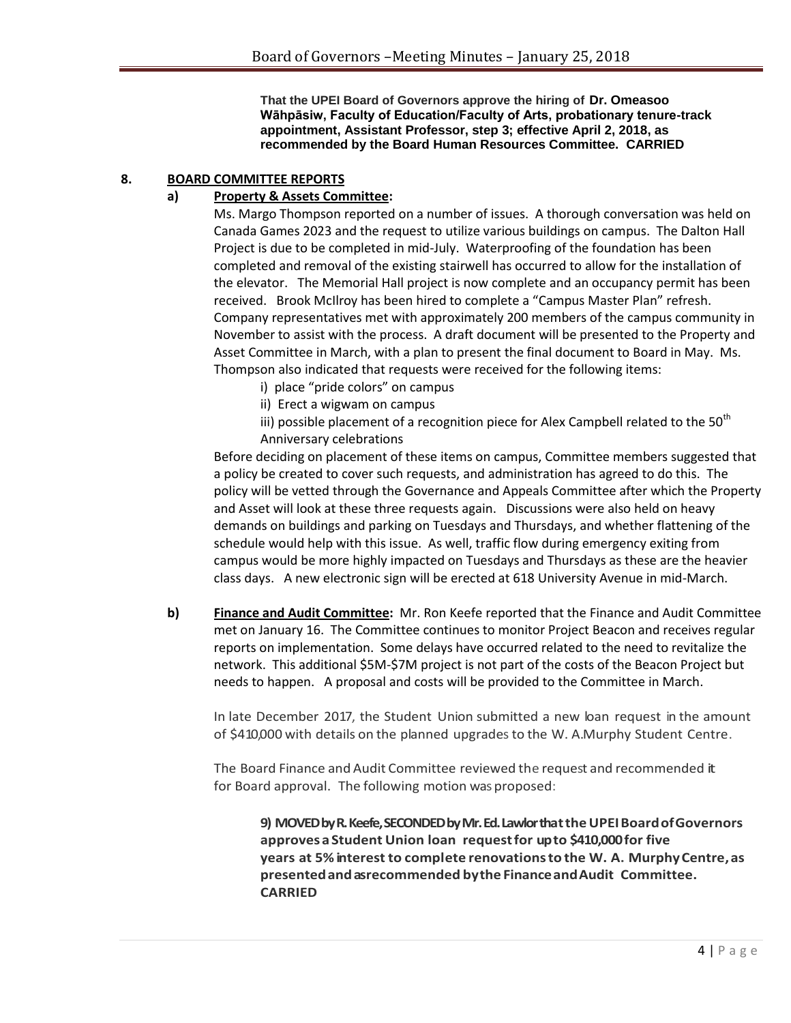**That the UPEI Board of Governors approve the hiring of Dr. Omeasoo Wāhpāsiw, Faculty of Education/Faculty of Arts, probationary tenure-track appointment, Assistant Professor, step 3; effective April 2, 2018, as recommended by the Board Human Resources Committee. CARRIED**

# **8. BOARD COMMITTEE REPORTS**

# **a) Property & Assets Committee:**

Ms. Margo Thompson reported on a number of issues. A thorough conversation was held on Canada Games 2023 and the request to utilize various buildings on campus. The Dalton Hall Project is due to be completed in mid-July. Waterproofing of the foundation has been completed and removal of the existing stairwell has occurred to allow for the installation of the elevator. The Memorial Hall project is now complete and an occupancy permit has been received. Brook McIlroy has been hired to complete a "Campus Master Plan" refresh. Company representatives met with approximately 200 members of the campus community in November to assist with the process. A draft document will be presented to the Property and Asset Committee in March, with a plan to present the final document to Board in May. Ms. Thompson also indicated that requests were received for the following items:

- i) place "pride colors" on campus
- ii) Erect a wigwam on campus
- iii) possible placement of a recognition piece for Alex Campbell related to the  $50<sup>th</sup>$ Anniversary celebrations

Before deciding on placement of these items on campus, Committee members suggested that a policy be created to cover such requests, and administration has agreed to do this. The policy will be vetted through the Governance and Appeals Committee after which the Property and Asset will look at these three requests again. Discussions were also held on heavy demands on buildings and parking on Tuesdays and Thursdays, and whether flattening of the schedule would help with this issue. As well, traffic flow during emergency exiting from campus would be more highly impacted on Tuesdays and Thursdays as these are the heavier class days. A new electronic sign will be erected at 618 University Avenue in mid-March.

**b) Finance and Audit Committee:** Mr. Ron Keefe reported that the Finance and Audit Committee met on January 16. The Committee continues to monitor Project Beacon and receives regular reports on implementation. Some delays have occurred related to the need to revitalize the network. This additional \$5M-\$7M project is not part of the costs of the Beacon Project but needs to happen. A proposal and costs will be provided to the Committee in March.

In late December 2017, the Student Union submitted a new loan request in the amount of \$410,000 with details on the planned upgradesto the W. A. Murphy Student Centre.

The Board Finance and Audit Committee reviewed the request and recommended it for Board approval. The following motion was proposed:

9) MOVED by R. Keefe, SECONDED by Mr. Ed. Lawlor that the UPEI Board of Governors **approvesaStudent Union loan requestfor upto \$410,000for five years at 5%interest to complete renovationsto the W. A. MurphyCentre,as presentedandas recommended bythe FinanceandAudit Committee. CARRIED**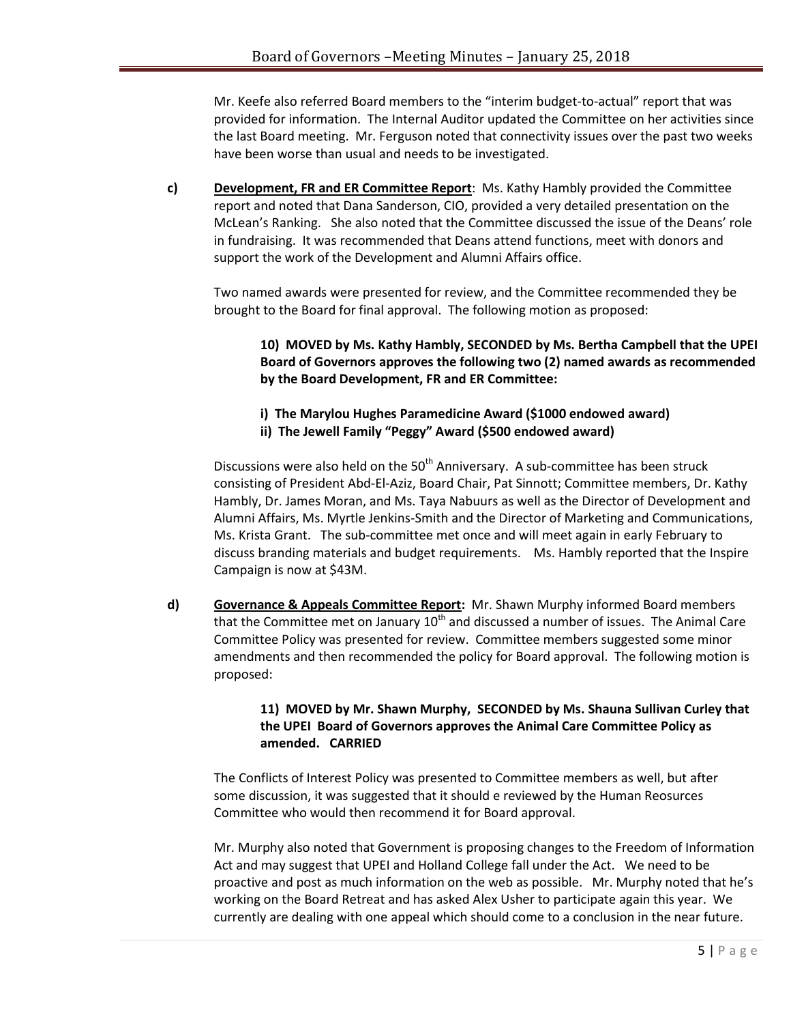Mr. Keefe also referred Board members to the "interim budget-to-actual" report that was provided for information. The Internal Auditor updated the Committee on her activities since the last Board meeting. Mr. Ferguson noted that connectivity issues over the past two weeks have been worse than usual and needs to be investigated.

**c) Development, FR and ER Committee Report**: Ms. Kathy Hambly provided the Committee report and noted that Dana Sanderson, CIO, provided a very detailed presentation on the McLean's Ranking. She also noted that the Committee discussed the issue of the Deans' role in fundraising. It was recommended that Deans attend functions, meet with donors and support the work of the Development and Alumni Affairs office.

Two named awards were presented for review, and the Committee recommended they be brought to the Board for final approval. The following motion as proposed:

**10) MOVED by Ms. Kathy Hambly, SECONDED by Ms. Bertha Campbell that the UPEI Board of Governors approves the following two (2) named awards as recommended by the Board Development, FR and ER Committee:**

- **i) The Marylou Hughes Paramedicine Award (\$1000 endowed award)**
- **ii) The Jewell Family "Peggy" Award (\$500 endowed award)**

Discussions were also held on the  $50<sup>th</sup>$  Anniversary. A sub-committee has been struck consisting of President Abd-El-Aziz, Board Chair, Pat Sinnott; Committee members, Dr. Kathy Hambly, Dr. James Moran, and Ms. Taya Nabuurs as well as the Director of Development and Alumni Affairs, Ms. Myrtle Jenkins-Smith and the Director of Marketing and Communications, Ms. Krista Grant. The sub-committee met once and will meet again in early February to discuss branding materials and budget requirements. Ms. Hambly reported that the Inspire Campaign is now at \$43M.

**d) Governance & Appeals Committee Report:** Mr. Shawn Murphy informed Board members that the Committee met on January  $10<sup>th</sup>$  and discussed a number of issues. The Animal Care Committee Policy was presented for review. Committee members suggested some minor amendments and then recommended the policy for Board approval. The following motion is proposed:

# **11) MOVED by Mr. Shawn Murphy, SECONDED by Ms. Shauna Sullivan Curley that the UPEI Board of Governors approves the Animal Care Committee Policy as amended. CARRIED**

The Conflicts of Interest Policy was presented to Committee members as well, but after some discussion, it was suggested that it should e reviewed by the Human Reosurces Committee who would then recommend it for Board approval.

Mr. Murphy also noted that Government is proposing changes to the Freedom of Information Act and may suggest that UPEI and Holland College fall under the Act. We need to be proactive and post as much information on the web as possible. Mr. Murphy noted that he's working on the Board Retreat and has asked Alex Usher to participate again this year. We currently are dealing with one appeal which should come to a conclusion in the near future.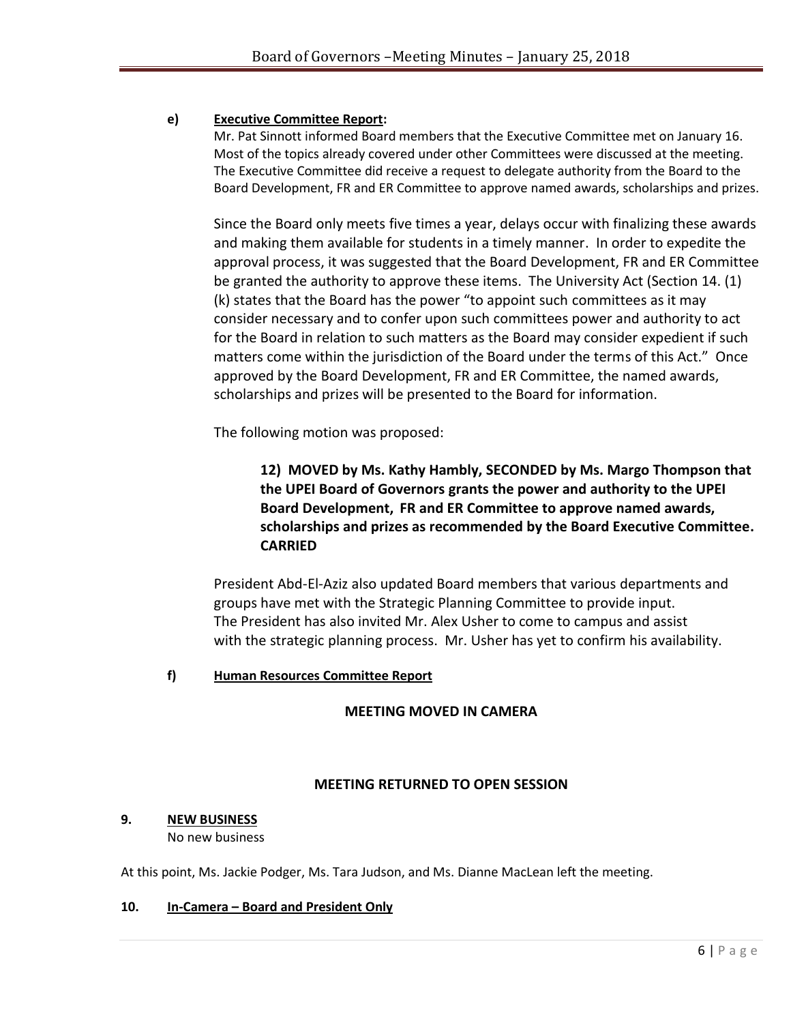# **e) Executive Committee Report:**

Mr. Pat Sinnott informed Board members that the Executive Committee met on January 16. Most of the topics already covered under other Committees were discussed at the meeting. The Executive Committee did receive a request to delegate authority from the Board to the Board Development, FR and ER Committee to approve named awards, scholarships and prizes.

Since the Board only meets five times a year, delays occur with finalizing these awards and making them available for students in a timely manner. In order to expedite the approval process, it was suggested that the Board Development, FR and ER Committee be granted the authority to approve these items. The University Act (Section 14. (1) (k) states that the Board has the power "to appoint such committees as it may consider necessary and to confer upon such committees power and authority to act for the Board in relation to such matters as the Board may consider expedient if such matters come within the jurisdiction of the Board under the terms of this Act." Once approved by the Board Development, FR and ER Committee, the named awards, scholarships and prizes will be presented to the Board for information.

The following motion was proposed:

**12) MOVED by Ms. Kathy Hambly, SECONDED by Ms. Margo Thompson that the UPEI Board of Governors grants the power and authority to the UPEI Board Development, FR and ER Committee to approve named awards, scholarships and prizes as recommended by the Board Executive Committee. CARRIED**

President Abd-El-Aziz also updated Board members that various departments and groups have met with the Strategic Planning Committee to provide input. The President has also invited Mr. Alex Usher to come to campus and assist with the strategic planning process. Mr. Usher has yet to confirm his availability.

# **f) Human Resources Committee Report**

## **MEETING MOVED IN CAMERA**

## **MEETING RETURNED TO OPEN SESSION**

## **9. NEW BUSINESS**

No new business

At this point, Ms. Jackie Podger, Ms. Tara Judson, and Ms. Dianne MacLean left the meeting.

## **10. In-Camera – Board and President Only**